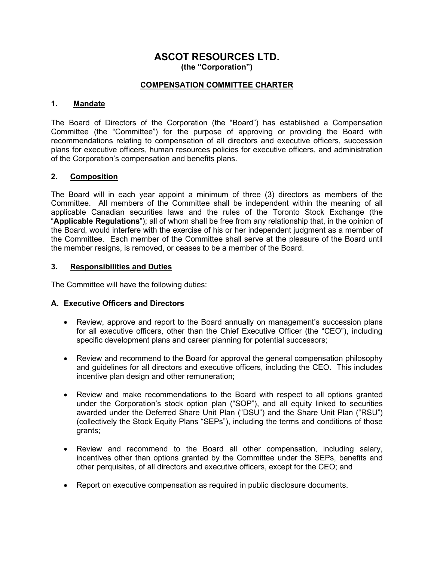# **ASCOT RESOURCES LTD. (the "Corporation")**

### **COMPENSATION COMMITTEE CHARTER**

#### **1. Mandate**

The Board of Directors of the Corporation (the "Board") has established a Compensation Committee (the "Committee") for the purpose of approving or providing the Board with recommendations relating to compensation of all directors and executive officers, succession plans for executive officers, human resources policies for executive officers, and administration of the Corporation's compensation and benefits plans.

#### **2. Composition**

The Board will in each year appoint a minimum of three (3) directors as members of the Committee. All members of the Committee shall be independent within the meaning of all applicable Canadian securities laws and the rules of the Toronto Stock Exchange (the "**Applicable Regulations**"); all of whom shall be free from any relationship that, in the opinion of the Board, would interfere with the exercise of his or her independent judgment as a member of the Committee. Each member of the Committee shall serve at the pleasure of the Board until the member resigns, is removed, or ceases to be a member of the Board.

#### **3. Responsibilities and Duties**

The Committee will have the following duties:

# **A. Executive Officers and Directors**

- Review, approve and report to the Board annually on management's succession plans for all executive officers, other than the Chief Executive Officer (the "CEO"), including specific development plans and career planning for potential successors;
- Review and recommend to the Board for approval the general compensation philosophy and guidelines for all directors and executive officers, including the CEO. This includes incentive plan design and other remuneration;
- Review and make recommendations to the Board with respect to all options granted under the Corporation's stock option plan ("SOP"), and all equity linked to securities awarded under the Deferred Share Unit Plan ("DSU") and the Share Unit Plan ("RSU") (collectively the Stock Equity Plans "SEPs"), including the terms and conditions of those grants;
- Review and recommend to the Board all other compensation, including salary, incentives other than options granted by the Committee under the SEPs, benefits and other perquisites, of all directors and executive officers, except for the CEO; and
- Report on executive compensation as required in public disclosure documents.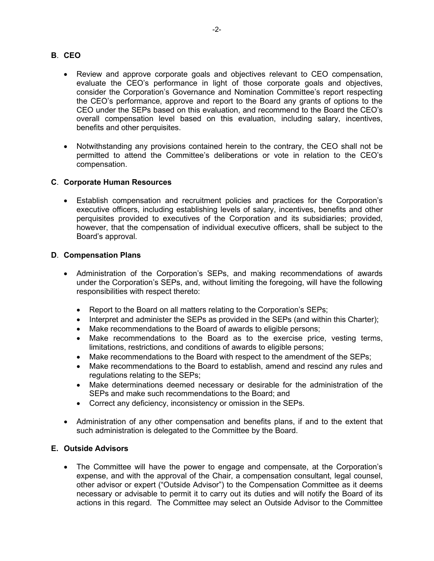### **B**. **CEO**

- Review and approve corporate goals and objectives relevant to CEO compensation, evaluate the CEO's performance in light of those corporate goals and objectives, consider the Corporation's Governance and Nomination Committee's report respecting the CEO's performance, approve and report to the Board any grants of options to the CEO under the SEPs based on this evaluation, and recommend to the Board the CEO's overall compensation level based on this evaluation, including salary, incentives, benefits and other perquisites.
- Notwithstanding any provisions contained herein to the contrary, the CEO shall not be permitted to attend the Committee's deliberations or vote in relation to the CEO's compensation.

# **C**. **Corporate Human Resources**

• Establish compensation and recruitment policies and practices for the Corporation's executive officers, including establishing levels of salary, incentives, benefits and other perquisites provided to executives of the Corporation and its subsidiaries; provided, however, that the compensation of individual executive officers, shall be subject to the Board's approval.

#### **D**. **Compensation Plans**

- Administration of the Corporation's SEPs, and making recommendations of awards under the Corporation's SEPs, and, without limiting the foregoing, will have the following responsibilities with respect thereto:
	- Report to the Board on all matters relating to the Corporation's SEPs;
	- Interpret and administer the SEPs as provided in the SEPs (and within this Charter);
	- Make recommendations to the Board of awards to eligible persons;
	- Make recommendations to the Board as to the exercise price, vesting terms, limitations, restrictions, and conditions of awards to eligible persons;
	- Make recommendations to the Board with respect to the amendment of the SEPs;
	- Make recommendations to the Board to establish, amend and rescind any rules and regulations relating to the SEPs;
	- Make determinations deemed necessary or desirable for the administration of the SEPs and make such recommendations to the Board; and
	- Correct any deficiency, inconsistency or omission in the SEPs.
- Administration of any other compensation and benefits plans, if and to the extent that such administration is delegated to the Committee by the Board.

# **E. Outside Advisors**

• The Committee will have the power to engage and compensate, at the Corporation's expense, and with the approval of the Chair, a compensation consultant, legal counsel, other advisor or expert ("Outside Advisor") to the Compensation Committee as it deems necessary or advisable to permit it to carry out its duties and will notify the Board of its actions in this regard. The Committee may select an Outside Advisor to the Committee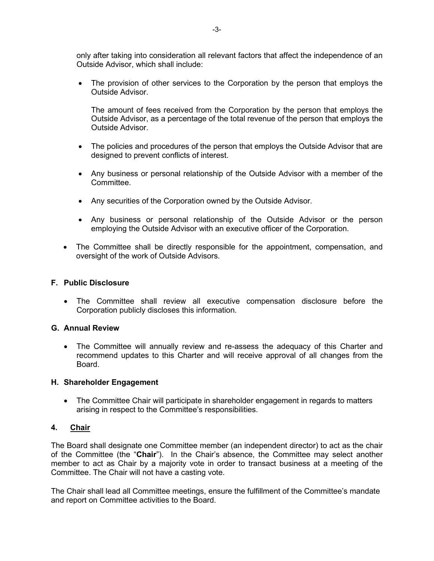only after taking into consideration all relevant factors that affect the independence of an Outside Advisor, which shall include:

• The provision of other services to the Corporation by the person that employs the Outside Advisor.

The amount of fees received from the Corporation by the person that employs the Outside Advisor, as a percentage of the total revenue of the person that employs the Outside Advisor.

- The policies and procedures of the person that employs the Outside Advisor that are designed to prevent conflicts of interest.
- Any business or personal relationship of the Outside Advisor with a member of the Committee.
- Any securities of the Corporation owned by the Outside Advisor.
- Any business or personal relationship of the Outside Advisor or the person employing the Outside Advisor with an executive officer of the Corporation.
- The Committee shall be directly responsible for the appointment, compensation, and oversight of the work of Outside Advisors.

# **F. Public Disclosure**

• The Committee shall review all executive compensation disclosure before the Corporation publicly discloses this information.

# **G. Annual Review**

The Committee will annually review and re-assess the adequacy of this Charter and recommend updates to this Charter and will receive approval of all changes from the Board.

#### **H. Shareholder Engagement**

• The Committee Chair will participate in shareholder engagement in regards to matters arising in respect to the Committee's responsibilities.

# **4. Chair**

The Board shall designate one Committee member (an independent director) to act as the chair of the Committee (the "**Chair**"). In the Chair's absence, the Committee may select another member to act as Chair by a majority vote in order to transact business at a meeting of the Committee. The Chair will not have a casting vote.

The Chair shall lead all Committee meetings, ensure the fulfillment of the Committee's mandate and report on Committee activities to the Board.